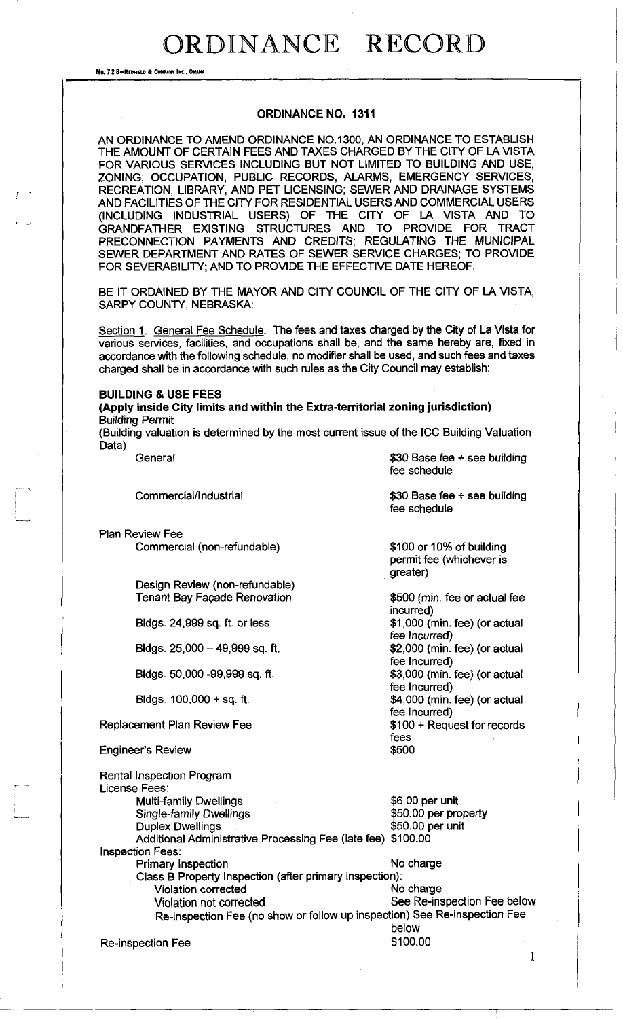No. 72 8-REDFIELD & COMPANY INC., OMAIL

### **ORDINANCE NO. 1311**

AN ORDINANCE TO AMEND ORDINANCE NO. 1300, AN ORDINANCE TO ESTABLISH THE AMOUNT OF CERTAIN FEES AND TAXES CHARGED BY THE CITY OF LA VISTA FOR VARIOUS SERVICES INCLUDING BUT NOT LIMITED TO BUILDING AND USE, ZONING, OCCUPATION, PUBLIC RECORDS, ALARMS, EMERGENCY SERVICES, RECREATION, LIBRARY, AND PET LICENSING; SEWER AND DRAINAGE SYSTEMS AND FACILITIES OF THE CITY FOR RESIDENTIAL USERS AND COMMERCIAL USERS (INCLUDING INDUSTRIAL USERS) OF THE CITY OF LA VISTA AND TO GRANDFATHER EXISTING STRUCTURES AND TO PROVIDE FOR TRACT PRECONNECTION PAYMENTS AND CREDITS; REGULATING THE MUNICIPAL SEWER DEPARTMENT AND RATES OF SEWER SERVICE CHARGES; TO PROVIDE FOR SEVERABILITY; AND TO PROVIDE THE EFFECTIVE DATE HEREOF.

BE IT ORDAINED BY THE MAYOR AND CITY COUNCIL OF THE CITY OF LA VISTA, SARPY COUNTY, NEBRASKA:

Section 1. General Fee Schedule. The fees and taxes charged by the City of La Vista for various services, facilities, and occupations shall be, and the same hereby are, fixed in accordance with the following schedule, no modifier shall be used, and such fees and taxes charged shall be in accordance with such rules as the City Council may establish:

#### **BUILDING & USE FEES**

**(Apply inside City limits and within the Extra-territorial zoning jurisdiction)**  Building Permit

(Building valuation is determined by the most current issue of the ICC Building Valuation Data)

General  $$30$  Base fee + see building fee schedule Commercial/Industrial  $$30$  Base fee + see building fee schedule Plan Review Fee Commercial (non-refundable) Design Review (non-refundable) Tenant Bay Facade Renovation Bldgs. 24,999 sq. ft. or less Bldgs.  $25,000 - 49,999$  sq. ft. Bldgs. 50,000 -99,999 sq. ft. Bldgs. 100,000 + sq. ft. Replacement Plan Review Fee Engineer's Review \$100 or 10% of building permit fee (whichever is greater) \$500 (min. fee or actual fee incurred) \$1,000 (min. fee) (or actual fee Incurred) \$2,000 (min. fee) (or actual fee Incurred) \$3,000 (min. fee) (or actual fee Incurred) \$4,000 (min. fee) (or actual fee Incurred) \$100 + Request for records fees \$500 \$6.00 per unit \$50.00 per property \$50.00 per unit Rental Inspection Program License Fees: Multi-family Dwellings Single-family Dwellings Duplex Dwellings Additional Administrative Processing Fee (late fee) \$100.00 Inspection Fees: Primary Inspection No charge Class B Property Inspection (after primary inspection): Violation corrected No charge Violation not corrected See Re-inspection Fee below

Re-inspection Fee (no show or follow up inspection) See Re-inspection Fee below

Re-inspection Fee \$100.00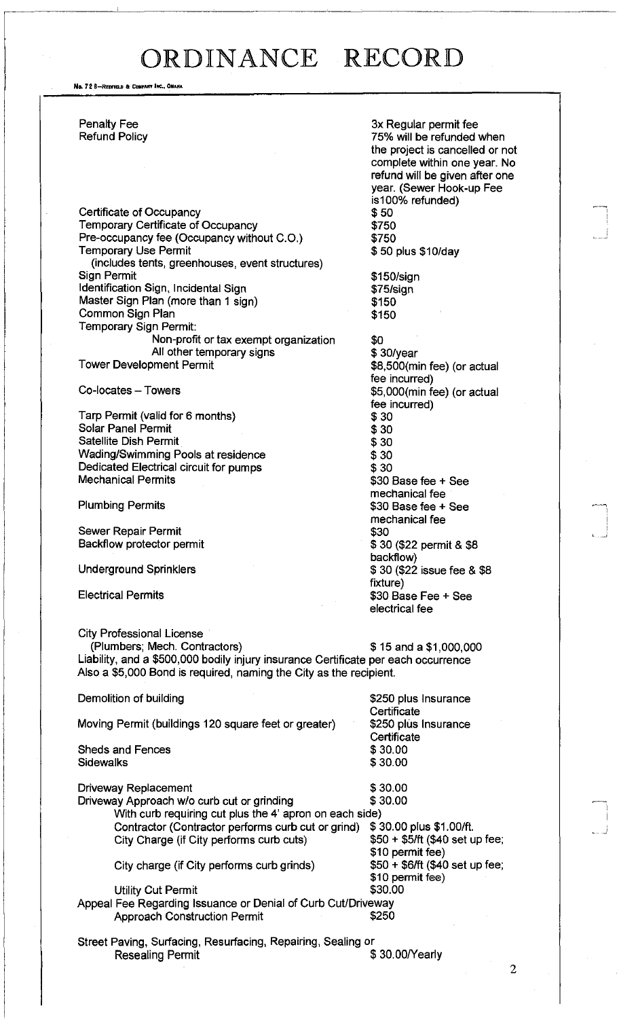No. 72 8-REDFIELD & COMPANY INC., OMAHA

Certificate of Occupancy<br>
Temporary Certificate of Occupancy<br>
\$750 Temporary Certificate of Occupancy Pre-occupancy fee (Occupancy without C.O.) \$750 Temporary Use Permit **1988** and 10 and 10 and 10 and 10 and 10 and 10 and 10 and 10 and 10 and 10 and 10 and 10 and 10 and 10 and 10 and 10 and 10 and 10 and 10 and 10 and 10 and 10 and 10 and 10 and 10 and 10 and 10 and 1 (includes tents, greenhouses, event structures) Sign Permit<br>
Identification Sign, Incidental Sign<br>
1975/sign Identification Sign, Incidental Sign Master Sign Plan (more than 1 sign) \$150 **Common Sign Plan 5150** Temporary Sign Permit: Non-profit or tax exempt organization \$0<br>All other temporary signs \$30/year All other temporary signs<br>Tower Development Permit

Tarp Permit (valid for 6 months) \$30 Solar Panel Permit \$30 Satellite Dish Permit Wading/Swimming Pools at residence<br>
Dedicated Electrical circuit for pumps<br>
\$30 Dedicated Electrical circuit for pumps<br>Mechanical Permits

Sewer Repair Permit<br>Backflow protector permit \$ 30 (\$22 permit & \$8 Backflow protector permit

City Professional License (Plumbers; Mech. Contractors) \$ 15 and a \$1,000,000 Liability, and a \$500,000 bodily injury insurance Certificate per each occurrence Also a \$5,000 Bond is required, naming the City as the recipient.

Demolition of building the state of the state of the S250 plus Insurance Certificate<br>\$250 plus Insurance Moving Permit (buildings 120 square feet or greater) **Certificate** Sheds and Fences \$30.00<br>Sidewalks \$30.00 **Sidewalks** Driveway Replacement  $\frac{1}{3}$  30.00<br>Driveway Approach w/o curb cut or grinding  $\frac{30.00}{3}$ Driveway Approach w/o curb cut or grinding With curb requiring cut plus the 4' apron on each side) Contractor (Contractor performs curb cut or grind) \$30.00 plus \$1,00/ft. City Charge (if City performs curb cuts)  $$50 + $5/ft$  (\$40 set up fee; \$10 permit fee)<br>\$50 + \$6/ft (\$40 set up fee; City charge (if City performs curb grinds) \$10 permit fee) Utility Cut Permit  $$30.00$ Appeal Fee Regarding Issuance or Denial of Curb Cut/Driveway Approach Construction Permit  $$250$ 

Street Paving, Surfacing, Resurfacing, Repairing, Sealing or Reseating Permit  $$ 30.00/Yearly$ 

Penalty Fee 3x Regular permit fee 3x Regular permit fee 3x Regular permit fee 3x Regular permit fee 3x Regular permit fee 3x Regular permit fee 3x Regular permit fee 3x Regular permit fee 3x Regular permit fee 3x 8x 8x 8x 75% will be refunded when the project is cancelled or not complete within one year. No refund will be given after one year. (Sewer Hook-up Fee is100% refunded)

 $$8,500$ (min fee) (or actual fee incurred)  $Co$ -locates – Towers  $$5,000$ (min fee) (or actual fee incurred) \$30 Base fee + See mechanical fee Plumbing Permits **\$30 Base fee + See** mechanical fee<br>\$30 backflow) Underground Sprinklers  $$ 30 ($22$ is such the 8 $8$ fixture) Electrical Permits  $$30$  Base Fee + See electrical fee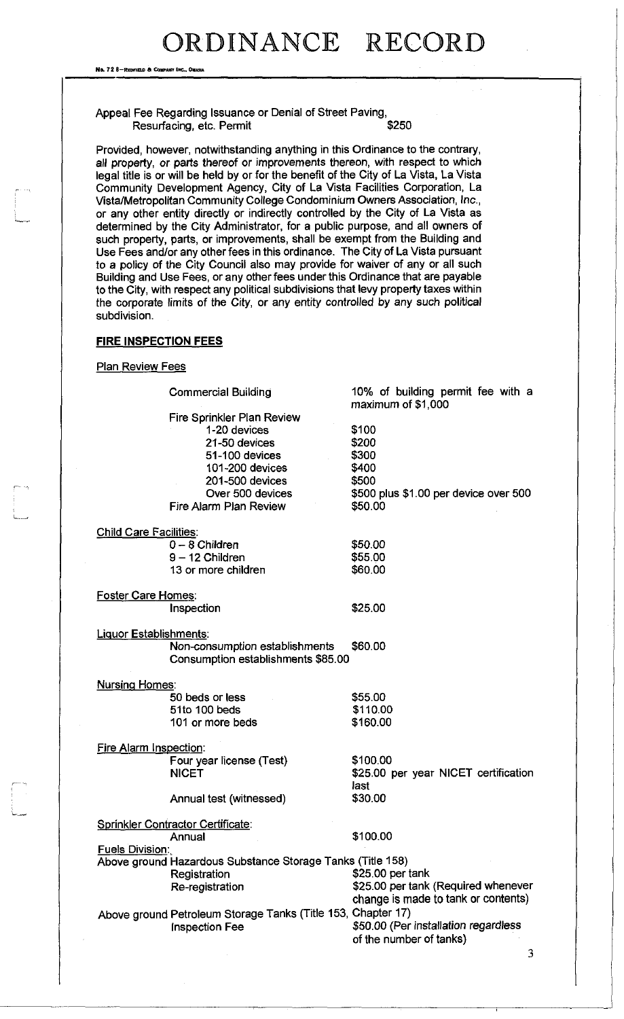No. 72 8-REDFIELD & COMPANY INC., OMAHA

### Appeal Fee Regarding Issuance or Denial of Street Paving, Resurfacing, etc. Permit

Provided, however, notwithstanding anything in this Ordinance to the contrary, all property, or parts thereof or improvements thereon, with respect to which legal title is or will be held by or for the benefit of the City of La Vista, La Vista Community Development Agency, City of La Vista Facilities Corporation, La Vista/Metropolitan Community College Condominium Owners Association, Inc., or any other entity directly or indirectly controlled by the City of La Vista as determined by the City Administrator, for a public purpose, and all owners of such property, parts, or improvements, shall be exempt from the Building and Use Fees and/or any other fees in this ordinance. The City of La Vista pursuant to a policy of the City Council also may provide for waiver of any or all such Building and Use Fees, or any other fees under this Ordinance that are payable to the City, with respect any political subdivisions that levy property taxes within the corporate limits of the City, or any entity controlled by any such political subdivision.

### **FIRE INSPECTION FEES**

### Plan Review Fees

|                               | <b>Commercial Building</b>                                   | 10% of building permit fee with a<br>maximum of $$1,000$ |
|-------------------------------|--------------------------------------------------------------|----------------------------------------------------------|
|                               | Fire Sprinkler Plan Review                                   |                                                          |
|                               | 1-20 devices                                                 | \$100                                                    |
|                               | 21-50 devices                                                | \$200                                                    |
|                               | 51-100 devices                                               | \$300                                                    |
|                               | 101-200 devices                                              | \$400                                                    |
|                               | 201-500 devices                                              | \$500                                                    |
|                               | Over 500 devices                                             | \$500 plus \$1.00 per device over 500                    |
|                               | Fire Alarm Plan Review                                       | \$50.00                                                  |
| <b>Child Care Facilities:</b> |                                                              |                                                          |
|                               | $0 - 8$ Children                                             | \$50.00                                                  |
|                               | $9 - 12$ Children                                            | \$55.00                                                  |
|                               | 13 or more children                                          | \$60.00                                                  |
| Foster Care Homes:            |                                                              |                                                          |
|                               | Inspection                                                   | \$25.00                                                  |
| Liquor Establishments:        |                                                              |                                                          |
|                               | Non-consumption establishments                               | \$60.00                                                  |
|                               | Consumption establishments \$85.00                           |                                                          |
| <b>Nursing Homes:</b>         |                                                              |                                                          |
|                               | 50 beds or less                                              | \$55.00                                                  |
|                               | 51to 100 beds                                                | \$110.00                                                 |
|                               | 101 or more beds                                             | \$160.00                                                 |
| Fire Alarm Inspection:        |                                                              |                                                          |
|                               | Four year license (Test)                                     | \$100.00                                                 |
|                               | <b>NICET</b>                                                 | \$25.00 per year NICET certification<br>last             |
|                               | Annual test (witnessed)                                      | \$30.00                                                  |
|                               | Sprinkler Contractor Certificate:                            |                                                          |
|                               | Annual                                                       | \$100.00                                                 |
| <b>Fuels Division:</b>        |                                                              |                                                          |
|                               | Above ground Hazardous Substance Storage Tanks (Title 158)   |                                                          |
|                               | Registration                                                 | \$25.00 per tank                                         |
|                               | Re-registration                                              | \$25.00 per tank (Required whenever                      |
|                               |                                                              | change is made to tank or contents)                      |
|                               | Above ground Petroleum Storage Tanks (Title 153, Chapter 17) |                                                          |
|                               | <b>Inspection Fee</b>                                        | \$50.00 (Per installation regardless                     |
|                               |                                                              | of the number of tanks)                                  |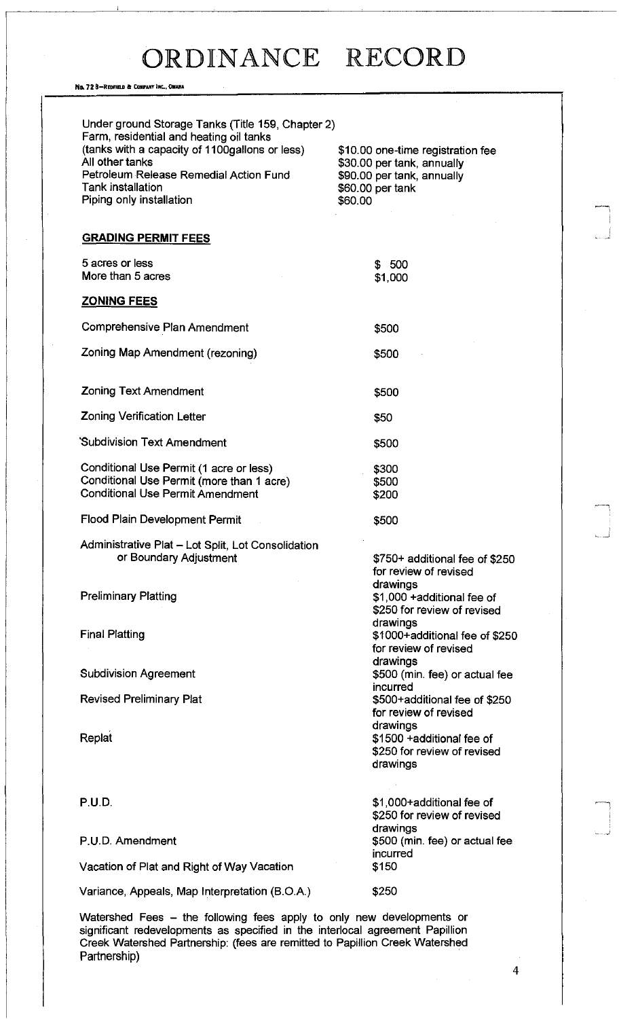No. 72 B-REDFIELD & COMPANY INC., OMAHA

| Under ground Storage Tanks (Title 159, Chapter 2)<br>Farm, residential and heating oil tanks<br>(tanks with a capacity of 1100gallons or less)<br>All other tanks<br>Petroleum Release Remedial Action Fund<br>Tank installation<br>Piping only installation | \$10.00 one-time registration fee<br>\$30.00 per tank, annually<br>\$90.00 per tank, annually<br>\$60.00 per tank<br>\$60.00     |
|--------------------------------------------------------------------------------------------------------------------------------------------------------------------------------------------------------------------------------------------------------------|----------------------------------------------------------------------------------------------------------------------------------|
| <b>GRADING PERMIT FEES</b>                                                                                                                                                                                                                                   |                                                                                                                                  |
| 5 acres or less<br>More than 5 acres                                                                                                                                                                                                                         | \$500<br>\$1,000                                                                                                                 |
| <b>ZONING FEES</b>                                                                                                                                                                                                                                           |                                                                                                                                  |
| Comprehensive Plan Amendment                                                                                                                                                                                                                                 | \$500                                                                                                                            |
| Zoning Map Amendment (rezoning)                                                                                                                                                                                                                              | \$500                                                                                                                            |
| <b>Zoning Text Amendment</b>                                                                                                                                                                                                                                 | \$500                                                                                                                            |
| <b>Zoning Verification Letter</b>                                                                                                                                                                                                                            | \$50                                                                                                                             |
| Subdivision Text Amendment                                                                                                                                                                                                                                   | \$500                                                                                                                            |
| Conditional Use Permit (1 acre or less)<br>Conditional Use Permit (more than 1 acre)<br><b>Conditional Use Permit Amendment</b>                                                                                                                              | \$300<br>\$500<br>\$200                                                                                                          |
| <b>Flood Plain Development Permit</b>                                                                                                                                                                                                                        | \$500                                                                                                                            |
| Administrative Plat - Lot Split, Lot Consolidation<br>or Boundary Adjustment<br><b>Preliminary Platting</b>                                                                                                                                                  | \$750+ additional fee of \$250<br>for review of revised<br>drawings<br>\$1,000 +additional fee of<br>\$250 for review of revised |
| <b>Final Platting</b>                                                                                                                                                                                                                                        | drawings<br>\$1000+additional fee of \$250<br>for review of revised                                                              |
| <b>Subdivision Agreement</b>                                                                                                                                                                                                                                 | drawings<br>\$500 (min. fee) or actual fee                                                                                       |
| <b>Revised Preliminary Plat</b>                                                                                                                                                                                                                              | incurred<br>\$500+additional fee of \$250<br>for review of revised                                                               |
| Replat                                                                                                                                                                                                                                                       | drawings<br>\$1500 +additional fee of<br>\$250 for review of revised<br>drawings                                                 |
| P.U.D.                                                                                                                                                                                                                                                       | \$1,000+additional fee of<br>\$250 for review of revised<br>drawings                                                             |
| P.U.D. Amendment                                                                                                                                                                                                                                             | \$500 (min. fee) or actual fee<br>incurred                                                                                       |
| Vacation of Plat and Right of Way Vacation                                                                                                                                                                                                                   | \$150                                                                                                                            |
| Variance, Appeals, Map Interpretation (B.O.A.)                                                                                                                                                                                                               | \$250                                                                                                                            |
|                                                                                                                                                                                                                                                              |                                                                                                                                  |

Watershed Fees - the following fees apply to only new developments or significant redevelopments as specified in the interlocal agreement Papillion Creek Watershed Partnership: (fees are remitted to Papillion Creek Watershed Partnership)

 $\overline{4}$ 

 $\begin{array}{c} \begin{array}{c} \begin{array}{c} \end{array} \\ \end{array} \end{array}$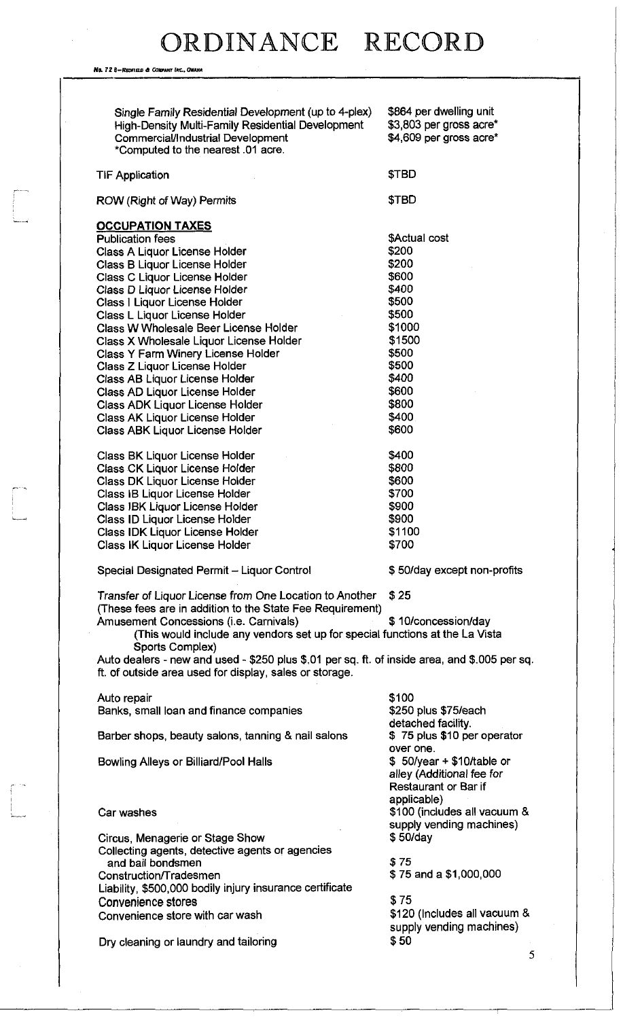No. *72* 8-Reonac ft Conwwr *Inc. OMAHA* 

 $\begin{array}{c} \begin{array}{ccc} \text{1} & \text{1} & \text{1} & \text{1} & \text{1} \\ \text{1} & \text{1} & \text{1} & \text{1} & \text{1} \\ \text{1} & \text{1} & \text{1} & \text{1} & \text{1} \\ \text{2} & \text{2} & \text{2} & \text{2} & \text{2} \\ \text{3} & \text{3} & \text{4} & \text{3} & \text{4} \\ \end{array} \end{array}$ 

| Single Family Residential Development (up to 4-plex)<br><b>High-Density Multi-Family Residential Development</b><br><b>Commercial/Industrial Development</b><br>*Computed to the nearest .01 acre. | \$864 per dwelling unit<br>\$3,803 per gross acre*<br>\$4,609 per gross acre* |
|----------------------------------------------------------------------------------------------------------------------------------------------------------------------------------------------------|-------------------------------------------------------------------------------|
| <b>TIF Application</b>                                                                                                                                                                             | \$TBD                                                                         |
| <b>ROW (Right of Way) Permits</b>                                                                                                                                                                  | \$TBD                                                                         |
| <b>OCCUPATION TAXES</b>                                                                                                                                                                            |                                                                               |
| <b>Publication fees</b>                                                                                                                                                                            | \$Actual cost                                                                 |
| Class A Liquor License Holder                                                                                                                                                                      | \$200                                                                         |
| Class B Liquor License Holder                                                                                                                                                                      | \$200                                                                         |
| <b>Class C Liquor License Holder</b>                                                                                                                                                               | \$600                                                                         |
| Class D Liquor License Holder                                                                                                                                                                      | \$400                                                                         |
| Class   Liquor License Holder                                                                                                                                                                      | \$500                                                                         |
| Class L Liquor License Holder                                                                                                                                                                      | \$500                                                                         |
| Class W Wholesale Beer License Holder                                                                                                                                                              | \$1000                                                                        |
| Class X Wholesale Liquor License Holder                                                                                                                                                            | \$1500                                                                        |
| Class Y Farm Winery License Holder                                                                                                                                                                 | \$500                                                                         |
| Class Z Liquor License Holder                                                                                                                                                                      | \$500                                                                         |
| Class AB Liquor License Holder                                                                                                                                                                     | \$400                                                                         |
| Class AD Liquor License Holder                                                                                                                                                                     | \$600                                                                         |
| <b>Class ADK Liquor License Holder</b>                                                                                                                                                             | \$800                                                                         |
| Class AK Liquor License Holder                                                                                                                                                                     | \$400                                                                         |
| <b>Class ABK Liquor License Holder</b>                                                                                                                                                             | \$600                                                                         |
|                                                                                                                                                                                                    |                                                                               |
| Class BK Liquor License Holder                                                                                                                                                                     | \$400                                                                         |
| <b>Class CK Liquor License Holder</b>                                                                                                                                                              | \$800                                                                         |
| Class DK Liquor License Holder                                                                                                                                                                     | \$600                                                                         |
| Class IB Liquor License Holder                                                                                                                                                                     | \$700                                                                         |
| Class IBK Liquor License Holder                                                                                                                                                                    | \$900                                                                         |
| Class ID Liquor License Holder                                                                                                                                                                     | \$900                                                                         |
| <b>Class IDK Liquor License Holder</b>                                                                                                                                                             | \$1100                                                                        |
| Class IK Liquor License Holder                                                                                                                                                                     | \$700                                                                         |
|                                                                                                                                                                                                    |                                                                               |
| Special Designated Permit - Liquor Control                                                                                                                                                         | \$50/day except non-profits                                                   |
| Transfer of Liquor License from One Location to Another<br>(These fees are in addition to the State Fee Requirement)                                                                               | \$25                                                                          |
| Amusement Concessions (i.e. Carnivals)                                                                                                                                                             | \$10/concession/day                                                           |
| (This would include any vendors set up for special functions at the La Vista                                                                                                                       |                                                                               |
| Sports Complex)                                                                                                                                                                                    |                                                                               |
| Auto dealers - new and used - \$250 plus \$.01 per sq. ft. of inside area, and \$.005 per sq.                                                                                                      |                                                                               |
| ft. of outside area used for display, sales or storage.                                                                                                                                            |                                                                               |
| Auto repair                                                                                                                                                                                        | \$100                                                                         |
| Banks, small loan and finance companies                                                                                                                                                            | \$250 plus \$75/each                                                          |
|                                                                                                                                                                                                    | detached facility.                                                            |
| Barber shops, beauty salons, tanning & nail salons                                                                                                                                                 | \$75 plus \$10 per operator<br>over one.                                      |
| Bowling Alleys or Billiard/Pool Halls                                                                                                                                                              | $$50/year + $10/table$ or                                                     |
|                                                                                                                                                                                                    | alley (Additional fee for<br>Restaurant or Bar if                             |
|                                                                                                                                                                                                    | applicable)                                                                   |
| Car washes                                                                                                                                                                                         | \$100 (includes all vacuum &                                                  |
|                                                                                                                                                                                                    | supply vending machines)                                                      |
| Circus, Menagerie or Stage Show                                                                                                                                                                    | \$50/day                                                                      |
| Collecting agents, detective agents or agencies                                                                                                                                                    |                                                                               |
| and bail bondsmen                                                                                                                                                                                  | \$75                                                                          |
| Construction/Tradesmen                                                                                                                                                                             | \$75 and a \$1,000,000                                                        |
| Liability, \$500,000 bodily injury insurance certificate                                                                                                                                           |                                                                               |
| Convenience stores                                                                                                                                                                                 | \$75                                                                          |
| Convenience store with car wash                                                                                                                                                                    | \$120 (Includes all vacuum &                                                  |
|                                                                                                                                                                                                    | supply vending machines)                                                      |
| Dry cleaning or laundry and tailoring                                                                                                                                                              | \$50                                                                          |
|                                                                                                                                                                                                    |                                                                               |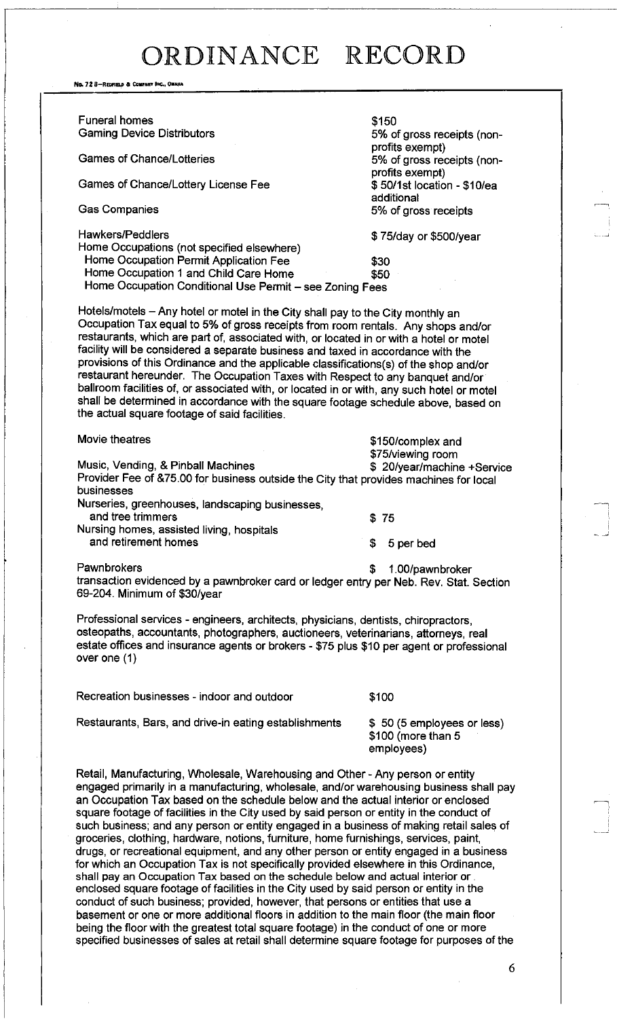No. 72 8-REDFIELD & COMPANY INC., OMAHA

| <b>Funeral homes</b>                                                                                                                                                             | \$150                       |  |  |
|----------------------------------------------------------------------------------------------------------------------------------------------------------------------------------|-----------------------------|--|--|
| <b>Gaming Device Distributors</b>                                                                                                                                                | 5% of gross receipts (non-  |  |  |
|                                                                                                                                                                                  | profits exempt)             |  |  |
| <b>Games of Chance/Lotteries</b>                                                                                                                                                 | 5% of gross receipts (non-  |  |  |
|                                                                                                                                                                                  | profits exempt)             |  |  |
| Games of Chance/Lottery License Fee                                                                                                                                              | \$50/1st location - \$10/ea |  |  |
|                                                                                                                                                                                  | additional                  |  |  |
| <b>Gas Companies</b>                                                                                                                                                             | 5% of gross receipts        |  |  |
|                                                                                                                                                                                  |                             |  |  |
| Hawkers/Peddlers                                                                                                                                                                 | \$75/day or \$500/year      |  |  |
| Home Occupations (not specified elsewhere)                                                                                                                                       |                             |  |  |
| Home Occupation Permit Application Fee                                                                                                                                           | \$30                        |  |  |
| Home Occupation 1 and Child Care Home                                                                                                                                            | \$50                        |  |  |
| Home Occupation Conditional Use Permit - see Zoning Fees                                                                                                                         |                             |  |  |
|                                                                                                                                                                                  |                             |  |  |
| Hotels/motels – Any hotel or motel in the City shall pay to the City monthly an                                                                                                  |                             |  |  |
| Occupation Tax equal to 5% of gross receipts from room rentals. Any shops and/or                                                                                                 |                             |  |  |
| restaurants, which are part of, associated with, or located in or with a hotel or motel                                                                                          |                             |  |  |
| facility will be considered a separate business and taxed in accordance with the                                                                                                 |                             |  |  |
|                                                                                                                                                                                  |                             |  |  |
| provisions of this Ordinance and the applicable classifications(s) of the shop and/or                                                                                            |                             |  |  |
| restaurant hereunder. The Occupation Taxes with Respect to any banquet and/or                                                                                                    |                             |  |  |
| ballroom facilities of, or associated with, or located in or with, any such hotel or motel<br>shall be determined in accordance with the square footage schedule above, based on |                             |  |  |
| the actual square footage of said facilities.                                                                                                                                    |                             |  |  |
|                                                                                                                                                                                  |                             |  |  |
| Movie theatres                                                                                                                                                                   |                             |  |  |
|                                                                                                                                                                                  | \$150/complex and           |  |  |
| Music, Vending, & Pinball Machines                                                                                                                                               | \$75/viewing room           |  |  |
|                                                                                                                                                                                  | \$20/year/machine +Service  |  |  |
| Provider Fee of &75.00 for business outside the City that provides machines for local<br>businesses                                                                              |                             |  |  |
| Nurseries, greenhouses, landscaping businesses,                                                                                                                                  |                             |  |  |
| and tree trimmers                                                                                                                                                                |                             |  |  |
| Nursing homes, assisted living, hospitals                                                                                                                                        | \$75                        |  |  |
| and retirement homes                                                                                                                                                             | \$                          |  |  |
|                                                                                                                                                                                  | 5 per bed                   |  |  |
| Pawnbrokers                                                                                                                                                                      | \$<br>1.00/pawnbroker       |  |  |
| transaction evidenced by a pawnbroker card or ledger entry per Neb. Rev. Stat. Section                                                                                           |                             |  |  |
| 69-204. Minimum of \$30/year                                                                                                                                                     |                             |  |  |
|                                                                                                                                                                                  |                             |  |  |
| Professional services - engineers, architects, physicians, dentists, chiropractors,                                                                                              |                             |  |  |
| osteopaths, accountants, photographers, auctioneers, veterinarians, attorneys, real                                                                                              |                             |  |  |
| estate offices and insurance agents or brokers - \$75 plus \$10 per agent or professional                                                                                        |                             |  |  |
|                                                                                                                                                                                  |                             |  |  |

Recreation businesses - indoor and outdoor \$100

Restaurants, Bars, and drive-in eating establishments \$ 50 (5 employees or less)

over one (1)

\$100 (more than 5 employees)

Retail, Manufacturing, Wholesale, Warehousing and Other - Any person or entity engaged primarily in a manufacturing, wholesale, and/or warehousing business shall pay an Occupation Tax based on the schedule below and the actual interior or enclosed square footage of facilities in the City used by said person or entity in the conduct of such business; and any person or entity engaged in a business of making retail sales of groceries, clothing, hardware, notions, furniture, home furnishings, services, paint, drugs, or recreational equipment, and any other person or entity engaged in a business for which an Occupation Tax is not specifically provided elsewhere in this Ordinance, shall pay an Occupation Tax based on the schedule below and actual interior or . enclosed square footage of facilities in the City used by said person or entity in the conduct of such business; provided, however, that persons or entities that use a basement or one or more additional floors in addition to the main floor (the main floor being the floor with the greatest total square footage) in the conduct of one or more specified businesses of sales at retail shall determine square footage for purposes of the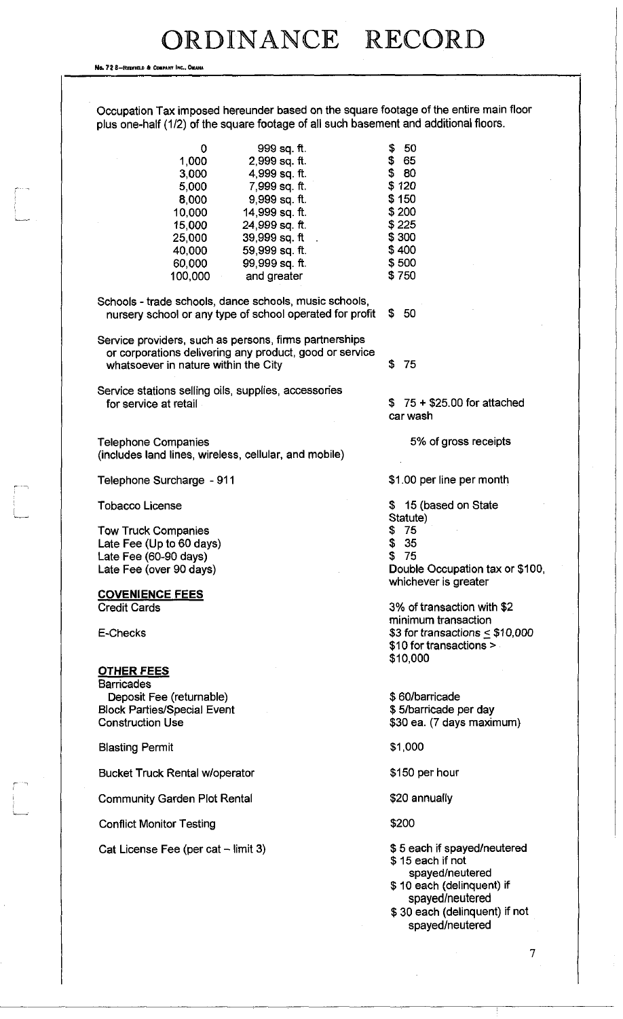No. 72 8-REDFIELD & COMPANY INC., OMAHA

 $\sqrt{2}$ 

| 0                                                        | 999 sq. ft.<br>2.999 sq ft. | -50<br>\$<br>\$65                                            |
|----------------------------------------------------------|-----------------------------|--------------------------------------------------------------|
| 1,000<br>3,000                                           | 4,999 sq. ft.               | \$80                                                         |
| 5,000                                                    | 7,999 sq. ft.               | \$120                                                        |
| 8,000                                                    | 9,999 sq. ft.               | \$150                                                        |
| 10,000                                                   | 14,999 sq. ft.              | \$200                                                        |
| 15,000                                                   | 24,999 sq. ft.              | \$225                                                        |
| 25,000                                                   | 39,999 sq. ft .             | \$300                                                        |
| 40,000                                                   | 59,999 sq. ft.              | \$400                                                        |
| 60,000                                                   | 99,999 sq. ft.              | \$500                                                        |
| 100,000                                                  | and greater                 | \$750                                                        |
| Schools - trade schools, dance schools, music schools,   |                             |                                                              |
| nursery school or any type of school operated for profit |                             | -50<br>S.                                                    |
| Service providers, such as persons, firms partnerships   |                             |                                                              |
| or corporations delivering any product, good or service  |                             |                                                              |
| whatsoever in nature within the City                     |                             | \$<br>-75                                                    |
| Service stations selling oils, supplies, accessories     |                             |                                                              |
| for service at retail                                    |                             | $$75 + $25.00$ for attached                                  |
|                                                          |                             | car wash                                                     |
| <b>Telephone Companies</b>                               |                             | 5% of gross receipts                                         |
| (includes land lines, wireless, cellular, and mobile)    |                             |                                                              |
| Telephone Surcharge - 911                                |                             | \$1.00 per line per month                                    |
| <b>Tobacco License</b>                                   |                             | \$15 (based on State                                         |
|                                                          |                             | Statute)                                                     |
| <b>Tow Truck Companies</b>                               |                             | \$75                                                         |
| Late Fee (Up to 60 days)                                 |                             | \$<br>35                                                     |
| Late Fee (60-90 days)                                    |                             | \$<br>75                                                     |
| Late Fee (over 90 days)                                  |                             | Double Occupation tax or \$100,<br>whichever is greater      |
| <b>COVENIENCE FEES</b>                                   |                             |                                                              |
| <b>Credit Cards</b>                                      |                             | 3% of transaction with \$2                                   |
|                                                          |                             | minimum transaction                                          |
| E-Checks                                                 |                             | \$3 for transactions $<$ \$10,000<br>\$10 for transactions > |
|                                                          |                             | \$10,000                                                     |
| <u>OTHER FEES</u>                                        |                             |                                                              |
| <b>Barricades</b>                                        |                             |                                                              |
| Deposit Fee (returnable)                                 |                             | \$60/barricade                                               |
| <b>Block Parties/Special Event</b>                       |                             | \$5/barricade per day                                        |
| <b>Construction Use</b>                                  |                             | \$30 ea. (7 days maximum)                                    |
| <b>Blasting Permit</b>                                   |                             | \$1,000                                                      |
| <b>Bucket Truck Rental w/operator</b>                    |                             | \$150 per hour                                               |
| <b>Community Garden Plot Rental</b>                      |                             | \$20 annually                                                |
| <b>Conflict Monitor Testing</b>                          |                             | \$200                                                        |
| Cat License Fee (per cat - limit 3)                      |                             | \$5 each if spayed/neutered<br>\$15 each if not              |
|                                                          |                             | spayed/neutered                                              |
|                                                          |                             | \$10 each (delinquent) if                                    |

spayed/neutered \$ 30 each (delinquent) if not spayed/neutered

 $\overline{\phantom{a}}$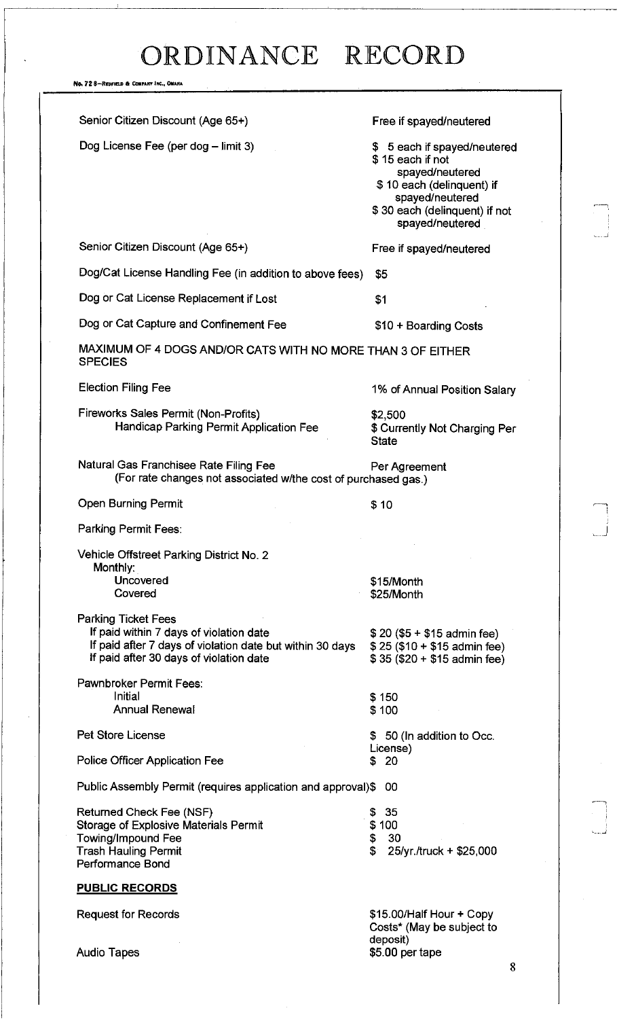No. 72 8-REDFIEU ft COMPANY INC., OMAHA

| Senior Citizen Discount (Age 65+)                                                                                                                                             | Free if spayed/neutered                                                                                                                                                 |
|-------------------------------------------------------------------------------------------------------------------------------------------------------------------------------|-------------------------------------------------------------------------------------------------------------------------------------------------------------------------|
| Dog License Fee (per dog - limit 3)                                                                                                                                           | \$ 5 each if spayed/neutered<br>\$15 each if not<br>spayed/neutered<br>\$10 each (delinquent) if<br>spayed/neutered<br>\$30 each (delinquent) if not<br>spayed/neutered |
| Senior Citizen Discount (Age 65+)                                                                                                                                             | Free if spayed/neutered                                                                                                                                                 |
| Dog/Cat License Handling Fee (in addition to above fees)                                                                                                                      | \$5                                                                                                                                                                     |
| Dog or Cat License Replacement if Lost                                                                                                                                        | \$1                                                                                                                                                                     |
| Dog or Cat Capture and Confinement Fee                                                                                                                                        | \$10 + Boarding Costs                                                                                                                                                   |
| MAXIMUM OF 4 DOGS AND/OR CATS WITH NO MORE THAN 3 OF EITHER<br><b>SPECIES</b>                                                                                                 |                                                                                                                                                                         |
| <b>Election Filing Fee</b>                                                                                                                                                    | 1% of Annual Position Salary                                                                                                                                            |
| Fireworks Sales Permit (Non-Profits)<br>Handicap Parking Permit Application Fee                                                                                               | \$2,500<br>\$ Currently Not Charging Per<br><b>State</b>                                                                                                                |
| Natural Gas Franchisee Rate Filing Fee<br>(For rate changes not associated w/the cost of purchased gas.)                                                                      | Per Agreement                                                                                                                                                           |
| <b>Open Burning Permit</b>                                                                                                                                                    | \$10                                                                                                                                                                    |
| Parking Permit Fees:                                                                                                                                                          |                                                                                                                                                                         |
| Vehicle Offstreet Parking District No. 2<br>Monthly:<br>Uncovered<br>Covered                                                                                                  | \$15/Month<br>\$25/Month                                                                                                                                                |
| <b>Parking Ticket Fees</b><br>If paid within 7 days of violation date<br>If paid after 7 days of violation date but within 30 days<br>If paid after 30 days of violation date | $$20 ($5 + $15$)$ admin fee)<br>$$25 ($10 + $15$$ admin fee)<br>$$35 ($20 + $15$)$ admin fee)                                                                           |
| Pawnbroker Permit Fees:<br>Initial                                                                                                                                            | \$150                                                                                                                                                                   |
| <b>Annual Renewal</b>                                                                                                                                                         | \$100                                                                                                                                                                   |
| <b>Pet Store License</b>                                                                                                                                                      | \$50 (In addition to Occ.                                                                                                                                               |
| Police Officer Application Fee                                                                                                                                                | License)<br>\$ 20                                                                                                                                                       |
| Public Assembly Permit (requires application and approval)\$                                                                                                                  | -00                                                                                                                                                                     |
| Returned Check Fee (NSF)<br>Storage of Explosive Materials Permit<br><b>Towing/Impound Fee</b><br><b>Trash Hauling Permit</b><br>Performance Bond                             | -35<br>\$<br>\$100<br>\$<br>30<br>$\mathbf{f}$<br>25/yr./truck + \$25,000                                                                                               |
| <b>PUBLIC RECORDS</b>                                                                                                                                                         |                                                                                                                                                                         |
| <b>Request for Records</b><br><b>Audio Tapes</b>                                                                                                                              | \$15.00/Half Hour + Copy<br>Costs* (May be subject to<br>deposit)<br>\$5.00 per tape                                                                                    |
|                                                                                                                                                                               |                                                                                                                                                                         |

Ť

 $\bigcap$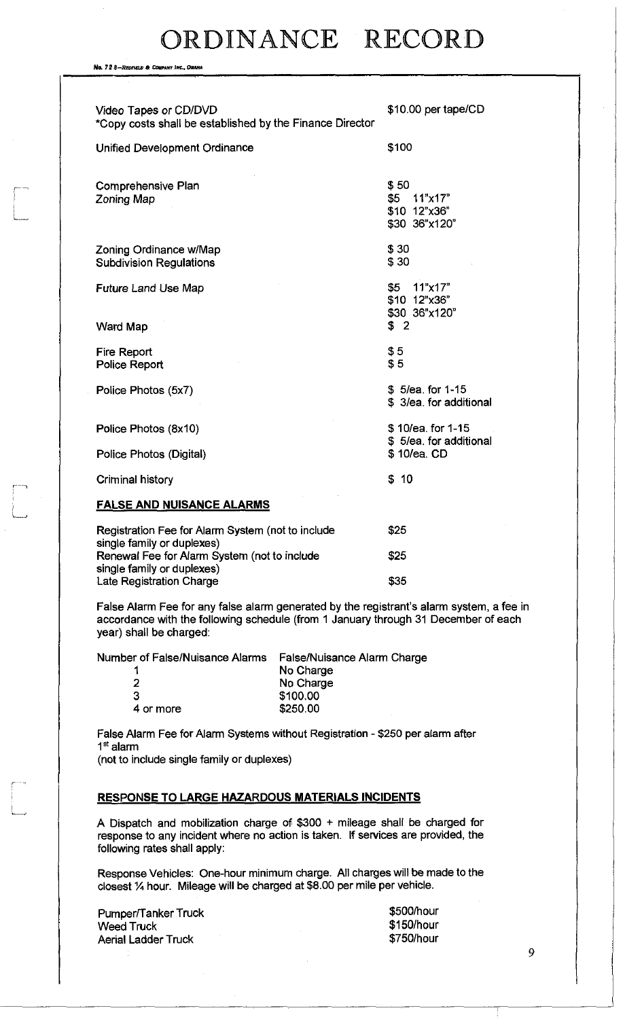No. 72 8-REDFIELD & COWPANY INC., OMAHA

*r* 

| Video Tapes or CD/DVD<br>*Copy costs shall be established by the Finance Director | \$10.00 per tape/CD                                     |
|-----------------------------------------------------------------------------------|---------------------------------------------------------|
| Unified Development Ordinance                                                     | \$100                                                   |
| Comprehensive Plan<br>Zoning Map                                                  | \$50<br>\$5<br>11"x17"<br>\$10 12"x36"<br>\$30 36"x120" |
| Zoning Ordinance w/Map<br><b>Subdivision Regulations</b>                          | \$30<br>\$30                                            |
| <b>Future Land Use Map</b>                                                        | \$5<br>11"x17"<br>\$10 12"x36"<br>\$30 36"x120"         |
| Ward Map                                                                          | \$2                                                     |
| Fire Report<br>Police Report                                                      | \$5<br>\$5                                              |
| Police Photos (5x7)                                                               | \$5/ea. for 1-15<br>\$3/ea. for additional              |
| Police Photos (8x10)                                                              | \$10/ea. for 1-15<br>\$5/ea. for additional             |
| Police Photos (Digital)                                                           | \$10/ea. CD                                             |
| Criminal history                                                                  | \$10                                                    |
| <b>FALSE AND NUISANCE ALARMS</b>                                                  |                                                         |
| Registration Fee for Alarm System (not to include<br>single family or duplexes)   | \$25                                                    |
| Renewal Fee for Alarm System (not to include<br>single family or duplexes)        | \$25                                                    |

False Alarm Fee for any false alarm generated by the registrant's alarm system, a fee in accordance with the following schedule (from 1 January through 31 December of each year) shall be charged:

Number of False/Nuisance Alarms False/Nuisance Alarm Charge

| , or , apertuncerico Alguno | ו סוסטרו לעווספוועט רופוו |
|-----------------------------|---------------------------|
| 1                           | No Charge                 |
| 2                           | No Charge                 |
| 3                           | \$100,00                  |
| 4 or more                   | \$250.00                  |
|                             |                           |

Late Registration Charge **\$35** 

False Alarm Fee for Alarm Systems without Registration - \$250 per alarm after 1<sup>st</sup> alarm

(not to include single family or duplexes)

### **RESPONSE TO LARGE HAZARDOUS MATERIALS INCIDENTS**

A Dispatch and mobilization charge of \$300 + mileage shall be charged for response to any incident where no action is taken. If services are provided, the following rates shall apply:

Response Vehicles: One-hour minimum charge. All charges will be made to the closest % hour. Mileage will be charged at \$8.00 per mile per vehicle.

| Pumper/Tanker Truck        | \$500/hour |
|----------------------------|------------|
| <b>Weed Truck</b>          | \$150/hour |
| <b>Aerial Ladder Truck</b> | \$750/hour |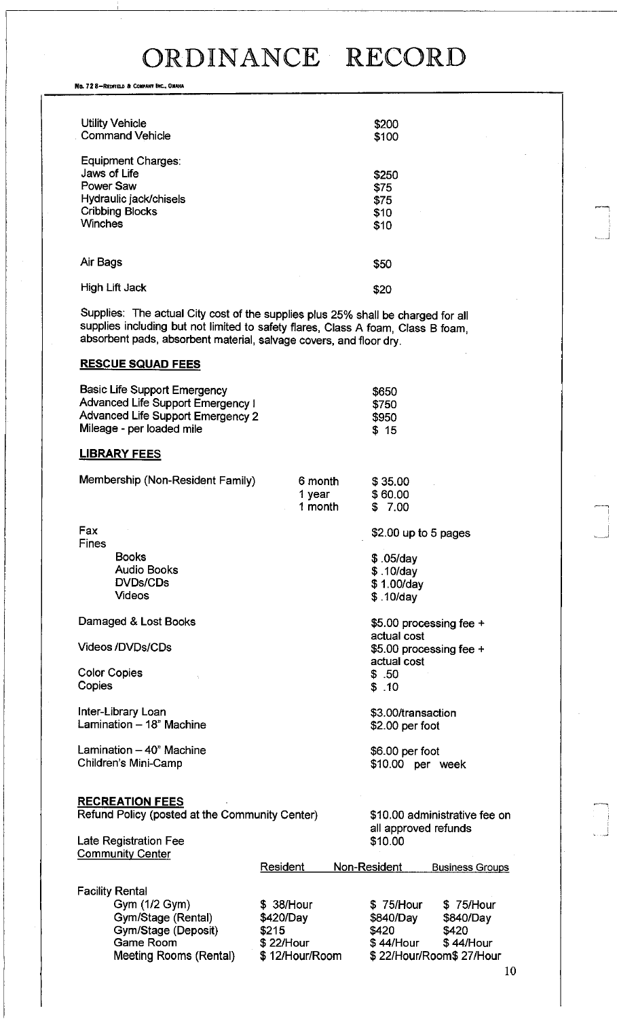No. 72 8-REDFIELD & COMPANY INC., OMAHA

| <b>Utility Vehicle</b><br><b>Command Vehicle</b>                                                                      | \$200<br>\$100                        |
|-----------------------------------------------------------------------------------------------------------------------|---------------------------------------|
| Equipment Charges:<br>Jaws of Life<br>Power Saw<br>Hydraulic jack/chisels<br><b>Cribbing Blocks</b><br><b>Winches</b> | \$250<br>\$75<br>\$75<br>\$10<br>\$10 |
| Air Bags                                                                                                              | \$50                                  |
| High Lift Jack                                                                                                        | <b>\$20</b>                           |

Supplies: The actual City cost of the supplies plus 25% shall be charged for all supplies including but not limited to safety flares, Class A foam, Class B foam, absorbent pads, absorbent material, salvage covers, and floor dry.

### **RESCUE SQUAD FEES**

| Basic Life Support Emergency      | \$650 |
|-----------------------------------|-------|
| Advanced Life Support Emergency I | \$750 |
| Advanced Life Support Emergency 2 | \$950 |
| Mileage - per loaded mile         | \$15  |

### **LIBRARY FEES**

| Membership (Non-Resident Family)                                         | 6 month<br>1 year<br>1 month | \$35.00<br>\$60.00<br>\$7.00                          |
|--------------------------------------------------------------------------|------------------------------|-------------------------------------------------------|
| Fax<br><b>Fines</b>                                                      |                              | \$2.00 up to 5 pages                                  |
| <b>Books</b><br><b>Audio Books</b><br><b>DVDs/CDs</b><br><b>Videos</b>   |                              | $$.05$ /day<br>\$.10/day<br>\$1.00/day<br>\$.10/day   |
| Damaged & Lost Books                                                     |                              | \$5.00 processing fee $+$                             |
| <b>Videos/DVDs/CDs</b>                                                   |                              | actual cost<br>\$5.00 processing fee +<br>actual cost |
| <b>Color Copies</b><br>Copies                                            |                              | \$.50<br>\$.10                                        |
| Inter-Library Loan<br>Lamination - 18" Machine                           |                              | \$3.00/transaction<br>\$2.00 per foot                 |
| Lamination - 40" Machine<br>Children's Mini-Camp                         |                              | \$6.00 per foot<br>\$10.00 per week                   |
| <b>RECREATION FEES</b><br>Refund Policy (posted at the Community Center) |                              | ®1∩ ∩∩ odminietrative fe                              |

Late Registration Fee

|  |  |  |  | Refund Policy (posted at the Community Center |  |
|--|--|--|--|-----------------------------------------------|--|
|--|--|--|--|-----------------------------------------------|--|

r) \$10.00 administrative fee on all approved refunds<br>\$10.00

| <b>Community Center</b> |                |              |                         |  |
|-------------------------|----------------|--------------|-------------------------|--|
|                         | Resident       | Non-Resident | <b>Business Groups</b>  |  |
| <b>Facility Rental</b>  |                |              |                         |  |
| Gym (1/2 Gym)           | \$38/Hour      | \$75/Hour    | \$75/Hour               |  |
| Gym/Stage (Rental)      | \$420/Day      | \$840/Day    | \$840/Day               |  |
| Gym/Stage (Deposit)     | \$215          | \$420        | \$420                   |  |
| Game Room               | \$22/Hour      | \$44/Hour    | \$44/Hour               |  |
| Meeting Rooms (Rental)  | \$12/Hour/Room |              | \$22/Hour/Room\$27/Hour |  |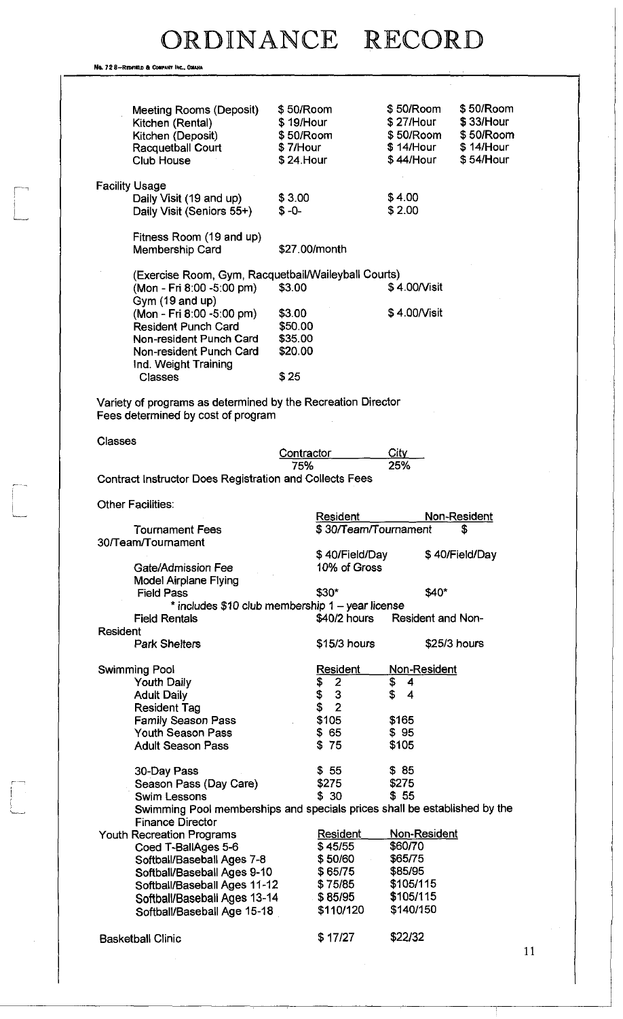Ne. 728-REDFIELD & COMPANY INC., OMAHA

|                                                                           | \$50/Room  |                      | \$50/Room                | \$50/Room      |
|---------------------------------------------------------------------------|------------|----------------------|--------------------------|----------------|
| Meeting Rooms (Deposit)                                                   |            |                      |                          |                |
| Kitchen (Rental)                                                          | \$19/Hour  |                      | \$ 27/Hour               | $$33/$ Hour    |
| Kitchen (Deposit)                                                         | \$50/Room  |                      | \$50/Room                | \$50/Room      |
| Racquetball Court                                                         | \$7/Hour   |                      | $$14/$ Hour              | \$14/Hour      |
| <b>Club House</b>                                                         | \$24.Hour  |                      | \$ 44/Hour               | \$54/Hour      |
|                                                                           |            |                      |                          |                |
| <b>Facility Usage</b>                                                     |            |                      |                          |                |
| Daily Visit (19 and up)                                                   | \$3.00     |                      | \$4.00                   |                |
| Daily Visit (Seniors 55+)                                                 | $$ -0-$    |                      | \$2.00                   |                |
|                                                                           |            |                      |                          |                |
| Fitness Room (19 and up)                                                  |            |                      |                          |                |
|                                                                           |            |                      |                          |                |
| Membership Card                                                           |            | \$27.00/month        |                          |                |
|                                                                           |            |                      |                          |                |
| (Exercise Room, Gym, Racquetbail/Waileyball Courts)                       |            |                      |                          |                |
| (Mon - Fri 8:00 -5:00 pm)                                                 | \$3.00     |                      | \$4.00/Visit             |                |
| Gym (19 and up)                                                           |            |                      |                          |                |
| (Mon - Fri 8:00 -5:00 pm)                                                 | \$3.00     |                      | \$4.00/Visit             |                |
| <b>Resident Punch Card</b>                                                | \$50.00    |                      |                          |                |
| Non-resident Punch Card                                                   | \$35.00    |                      |                          |                |
| Non-resident Punch Card                                                   | \$20.00    |                      |                          |                |
| Ind. Weight Training                                                      |            |                      |                          |                |
| <b>Classes</b>                                                            | \$25       |                      |                          |                |
|                                                                           |            |                      |                          |                |
|                                                                           |            |                      |                          |                |
| Variety of programs as determined by the Recreation Director              |            |                      |                          |                |
| Fees determined by cost of program                                        |            |                      |                          |                |
|                                                                           |            |                      |                          |                |
| <b>Classes</b>                                                            |            |                      |                          |                |
|                                                                           | Contractor |                      | City                     |                |
|                                                                           | 75%        |                      | 25%                      |                |
| <b>Contract Instructor Does Registration and Collects Fees</b>            |            |                      |                          |                |
|                                                                           |            |                      |                          |                |
| Other Facilities:                                                         |            |                      |                          |                |
|                                                                           |            | Resident             |                          | Non-Resident   |
| <b>Tournament Fees</b>                                                    |            | \$30/Team/Tournament |                          | \$             |
| 30/Team/Tournament                                                        |            |                      |                          |                |
|                                                                           |            | \$40/Field/Day       |                          | \$40/Field/Day |
| Gate/Admission Fee                                                        |            | 10% of Gross         |                          |                |
| <b>Model Airplane Flying</b>                                              |            |                      |                          |                |
| <b>Field Pass</b>                                                         |            | \$30*                | \$40*                    |                |
|                                                                           |            |                      |                          |                |
| * includes \$10 club membership 1 - year license                          |            |                      |                          |                |
| <b>Field Rentals</b>                                                      |            | \$40/2 hours         | <b>Resident and Non-</b> |                |
| <b>Resident</b>                                                           |            |                      |                          |                |
| <b>Park Shelters</b>                                                      |            | $$15/3$ hours        |                          | \$25/3 hours   |
|                                                                           |            |                      |                          |                |
| Swimming Pool                                                             |            | <b>Resident</b>      | <u>Non-Resident</u>      |                |
| <b>Youth Daily</b>                                                        |            | $\overline{2}$<br>\$ | \$<br>4                  |                |
| <b>Adult Daily</b>                                                        |            | 3<br>\$              | \$<br>4                  |                |
| <b>Resident Tag</b>                                                       |            | $\overline{2}$<br>\$ |                          |                |
| <b>Family Season Pass</b>                                                 |            | \$105                | \$165                    |                |
| <b>Youth Season Pass</b>                                                  |            | \$65                 | \$95                     |                |
| <b>Adult Season Pass</b>                                                  |            | \$75                 | \$105                    |                |
|                                                                           |            |                      |                          |                |
|                                                                           |            | \$55                 | \$85                     |                |
| 30-Day Pass                                                               |            |                      |                          |                |
| Season Pass (Day Care)                                                    |            | \$275                | \$275                    |                |
| <b>Swim Lessons</b>                                                       |            | \$30                 | \$55                     |                |
| Swimming Pool memberships and specials prices shall be established by the |            |                      |                          |                |
| <b>Finance Director</b>                                                   |            |                      |                          |                |
| <b>Youth Recreation Programs</b>                                          |            | Resident             | Non-Resident             |                |
| Coed T-BallAges 5-6                                                       |            | \$45/55              | \$60/70                  |                |
| Softball/Baseball Ages 7-8                                                |            | \$50/60              | \$65/75                  |                |
| Softball/Baseball Ages 9-10                                               |            | \$65/75              | \$85/95                  |                |
| Softball/Baseball Ages 11-12                                              |            | \$75/85              | \$105/115                |                |
| Softball/Baseball Ages 13-14                                              |            | \$85/95              | \$105/115                |                |
| Softball/Baseball Age 15-18                                               |            | \$110/120            | \$140/150                |                |
|                                                                           |            |                      |                          |                |
|                                                                           |            |                      |                          |                |
| <b>Basketball Clinic</b>                                                  |            | \$17/27              | \$22/32                  |                |
|                                                                           |            |                      |                          |                |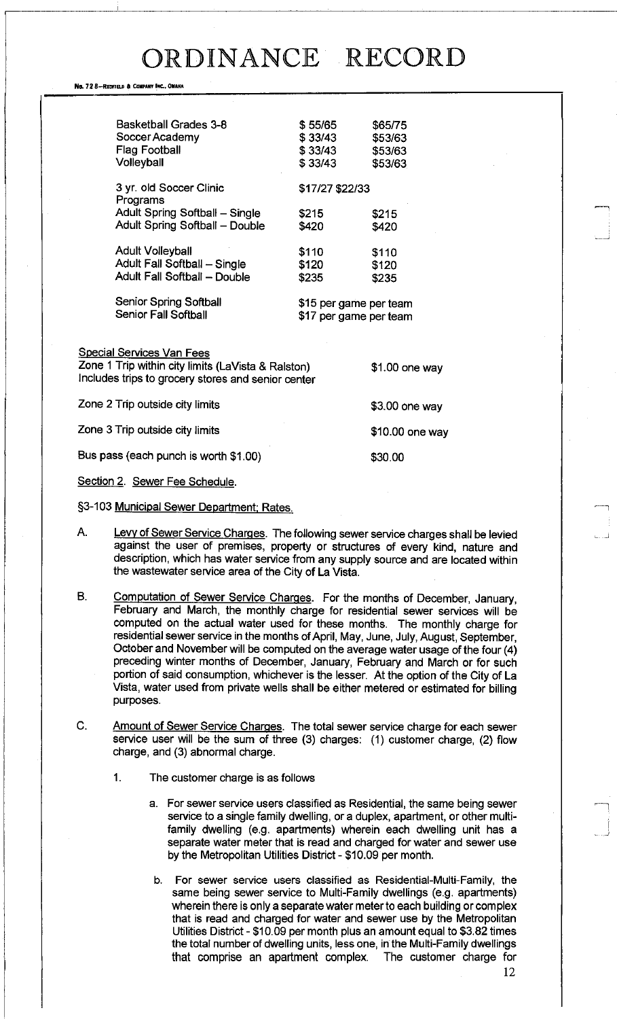#### No. 72 8-REDFIELD & COMPANY INC., OMAHA

|              | <b>Basketball Grades 3-8</b><br>Soccer Academy<br><b>Flag Football</b><br>Volleyball    | \$55/65<br>\$33/43<br>\$33/43<br>\$33/43         | \$65/75<br>\$53/63<br>\$53/63<br>\$53/63 |
|--------------|-----------------------------------------------------------------------------------------|--------------------------------------------------|------------------------------------------|
|              | 3 yr. old Soccer Clinic<br>Programs                                                     | \$17/27 \$22/33                                  |                                          |
|              | Adult Spring Softball - Single<br>Adult Spring Softball - Double                        | \$215<br>\$420                                   | \$215<br>\$420                           |
|              | <b>Adult Volleyball</b><br>Adult Fall Softball - Single<br>Adult Fall Softball - Double | \$110<br>\$120<br>\$235                          | \$110<br>\$120<br>\$235                  |
|              | <b>Senior Spring Softball</b><br>Senior Fall Softball                                   | \$15 per game per team<br>\$17 per game per team |                                          |
|              | <b>Special Services Van Fees</b><br>Zone 1 Trip within city limits (LaVista & Ralston)  |                                                  | $$1.00$ one way                          |
|              | Includes trips to grocery stores and senior center                                      |                                                  |                                          |
|              | Zone 2 Trip outside city limits                                                         |                                                  | \$3.00 one way                           |
|              | Zone 3 Trip outside city limits                                                         |                                                  | $$10.00$ one way                         |
|              | Bus pass (each punch is worth \$1.00)                                                   |                                                  | \$30.00                                  |
| $0 - 11 - 1$ |                                                                                         |                                                  |                                          |

Section 2. Sewer Fee Schedule.

- §3-103 Municipal Sewer Department; Rates.
- A. Levy of Sewer Service Charges. The following sewer service charges shall be levied against the user of premises, property or structures of every kind, nature and description, which has water service from any supply source and are located within the wastewater service area of the City of La Vista.
- B. Computation of Sewer Service Charges. For the months of December, January, February and March, the monthly charge for residential sewer services will be computed on the actual water used for these months. The monthly charge for residential sewer service in the months of April, May, June, July, August, September, October and November will be computed on the average water usage of the four (4) preceding winter months of December, January, February and March or for such portion of said consumption, whichever is the lesser. At the option of the City of La Vista, water used from private wells shall be either metered or estimated for billing purposes.
- C. Amount of Sewer Service Charges. The total sewer service charge for each sewer service user will be the sum of three (3) charges: (1) customer charge, (2) flow charge, and (3) abnormal charge.
	- 1. The customer charge is as follows
		- a. For sewer service users classified as Residential, the same being sewer service to a single family dwelling, or a duplex, apartment, or other multifamily dwelling (e.g. apartments) wherein each dwelling unit has a separate water meter that is read and charged for water and sewer use by the Metropolitan Utilities District - \$10.09 per month.
		- b. For sewer service users classified as Residential-Multi-Family, the same being sewer service to Multi-Family dwellings (e.g. apartments) wherein there is only a separate water meter to each building or complex that is read and charged for water and sewer use by the Metropolitan Utilities District - \$10.09 per month plus an amount equal to \$3.82 times the total number of dwelling units, less one, in the Multi-Family dwellings that comprise an apartment complex. The customer charge for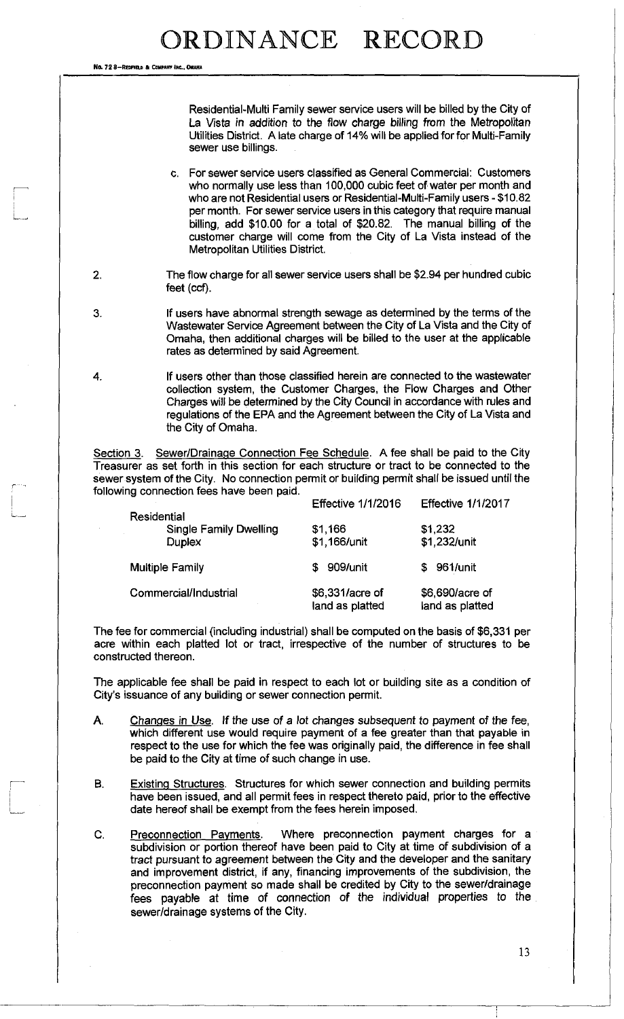No. 72 8-REGEIR & CONN

3.

Residential-Multi Family sewer service users will be billed by the City of La Vista in addition to the flow charge billing from the Metropolitan Utilities District. A late charge of 14% will be applied for for Multi-Family sewer use billings.

- c. For sewer sen/ice users classified as General Commercial: Customers who normally use less than 100,000 cubic feet of water per month and who are not Residential users or Residential-Multi-Family users - \$10.82 per month. For sewer service users in this category that require manual billing, add \$10.00 for a total of \$20.82. The manual billing of the customer charge will come from the City of La Vista instead of the Metropolitan Utilities District.
- $2.$ The flow charge for all sewer service users shall be \$2.94 per hundred cubic feet (ccf).
	- If users have abnormal strength sewage as determined by the terms of the Wastewater Service Agreement between the City of La Vista and the City of Omaha, then additional charges will be billed to the user at the applicable rates as determined by said Agreement.
- 4. If users other than those classified herein are connected to the wastewater collection system, the Customer Charges, the Flow Charges and Other Charges will be determined by the City Council in accordance with rules and regulations of the EPA and the Agreement between the City of La Vista and the City of Omaha.

Section 3. Sewer/Drainage Connection Fee Schedule. A fee shall be paid to the City Treasurer as set forth in this section for each structure or tract to be connected to the sewer system of the City. No connection permit or building permit shall be issued until the following connection fees have been paid. Effective 1/1/2016 Effective 1/1/2017

| <b>Residential</b>                             | LIGUUT IIILUIU                     | LHCUUT II IILU I                   |
|------------------------------------------------|------------------------------------|------------------------------------|
| <b>Single Family Dwelling</b><br><b>Duplex</b> | \$1,166<br>\$1,166/unit            | \$1,232<br>\$1,232/unit            |
| <b>Multiple Family</b>                         | 909/unit<br>S                      | 961/unit<br>S.                     |
| Commercial/Industrial                          | \$6,331/acre of<br>land as platted | \$6,690/acre of<br>land as platted |

The fee for commercial (including industrial) shall be computed on the basis of \$6,331 per acre within each platted lot or tract, irrespective of the number of structures to be constructed thereon.

The applicable fee shall be paid in respect to each lot or building site as a condition of City's issuance of any building or sewer connection permit.

- A. Changes in Use. If the use of a lot changes subsequent to payment of the fee, which different use would require payment of a fee greater than that payable in respect to the use for which the fee was originally paid, the difference in fee shall be paid to the City at time of such change in use.
- B. Existing Structures. Structures for which sewer connection and building permits have been issued, and all permit fees in respect thereto paid, prior to the effective date hereof shall be exempt from the fees herein imposed.
- C. Preconnection Payments. Where preconnection payment charges for a subdivision or portion thereof have been paid to City at time of subdivision of a tract pursuant to agreement between the City and the developer and the sanitary and improvement district, if any, financing improvements of the subdivision, the preconnection payment so made shall be credited by City to the sewer/drainage fees payable at time of connection of the individual properties to the sewer/drainage systems of the City.